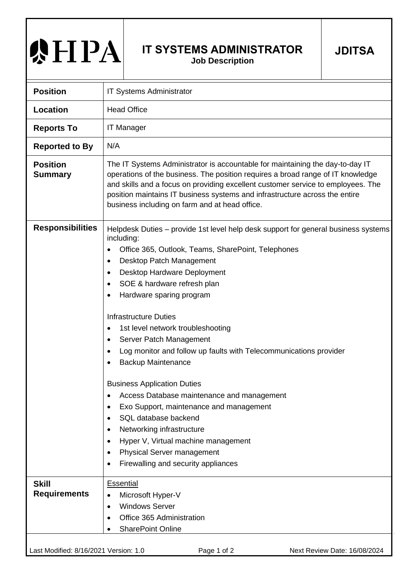## **AHPA**

## **IT SYSTEMS ADMINISTRATOR Job Description**

**JDITSA**

| <b>Position</b>                       | <b>IT Systems Administrator</b>                                                                                                                                                                                                                                                                                                                                                                                                                                                                                                                                                                                                                                                                                                                                                                                                                                                                                               |
|---------------------------------------|-------------------------------------------------------------------------------------------------------------------------------------------------------------------------------------------------------------------------------------------------------------------------------------------------------------------------------------------------------------------------------------------------------------------------------------------------------------------------------------------------------------------------------------------------------------------------------------------------------------------------------------------------------------------------------------------------------------------------------------------------------------------------------------------------------------------------------------------------------------------------------------------------------------------------------|
| <b>Location</b>                       | <b>Head Office</b>                                                                                                                                                                                                                                                                                                                                                                                                                                                                                                                                                                                                                                                                                                                                                                                                                                                                                                            |
| <b>Reports To</b>                     | <b>IT Manager</b>                                                                                                                                                                                                                                                                                                                                                                                                                                                                                                                                                                                                                                                                                                                                                                                                                                                                                                             |
| <b>Reported to By</b>                 | N/A                                                                                                                                                                                                                                                                                                                                                                                                                                                                                                                                                                                                                                                                                                                                                                                                                                                                                                                           |
| <b>Position</b><br><b>Summary</b>     | The IT Systems Administrator is accountable for maintaining the day-to-day IT<br>operations of the business. The position requires a broad range of IT knowledge<br>and skills and a focus on providing excellent customer service to employees. The<br>position maintains IT business systems and infrastructure across the entire<br>business including on farm and at head office.                                                                                                                                                                                                                                                                                                                                                                                                                                                                                                                                         |
| <b>Responsibilities</b>               | Helpdesk Duties – provide 1st level help desk support for general business systems<br>including:<br>Office 365, Outlook, Teams, SharePoint, Telephones<br>$\bullet$<br>Desktop Patch Management<br>Desktop Hardware Deployment<br>$\bullet$<br>SOE & hardware refresh plan<br>Hardware sparing program<br><b>Infrastructure Duties</b><br>1st level network troubleshooting<br>$\bullet$<br>Server Patch Management<br>Log monitor and follow up faults with Telecommunications provider<br>$\bullet$<br><b>Backup Maintenance</b><br><b>Business Application Duties</b><br>Access Database maintenance and management<br>$\bullet$<br>Exo Support, maintenance and management<br>$\bullet$<br>SQL database backend<br>$\bullet$<br>Networking infrastructure<br>$\bullet$<br>Hyper V, Virtual machine management<br>$\bullet$<br>Physical Server management<br>$\bullet$<br>Firewalling and security appliances<br>$\bullet$ |
| <b>Skill</b><br><b>Requirements</b>   | Essential<br>Microsoft Hyper-V<br>$\bullet$<br><b>Windows Server</b><br>$\bullet$<br>Office 365 Administration<br>$\bullet$<br><b>SharePoint Online</b>                                                                                                                                                                                                                                                                                                                                                                                                                                                                                                                                                                                                                                                                                                                                                                       |
| Last Modified: 8/16/2021 Version: 1.0 | Page 1 of 2<br>Next Review Date: 16/08/2024                                                                                                                                                                                                                                                                                                                                                                                                                                                                                                                                                                                                                                                                                                                                                                                                                                                                                   |